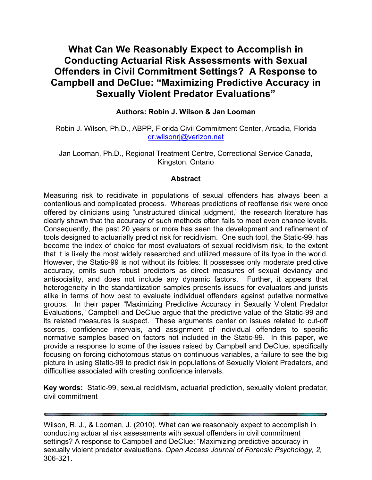# **What Can We Reasonably Expect to Accomplish in Conducting Actuarial Risk Assessments with Sexual Offenders in Civil Commitment Settings? A Response to Campbell and DeClue: "Maximizing Predictive Accuracy in Sexually Violent Predator Evaluations"**

## **Authors: Robin J. Wilson & Jan Looman**

Robin J. Wilson, Ph.D., ABPP, Florida Civil Commitment Center, Arcadia, Florida dr.wilsonrj@verizon.net

Jan Looman, Ph.D., Regional Treatment Centre, Correctional Service Canada, Kingston, Ontario

## **Abstract**

Measuring risk to recidivate in populations of sexual offenders has always been a contentious and complicated process. Whereas predictions of reoffense risk were once offered by clinicians using "unstructured clinical judgment," the research literature has clearly shown that the accuracy of such methods often fails to meet even chance levels. Consequently, the past 20 years or more has seen the development and refinement of tools designed to actuarially predict risk for recidivism. One such tool, the Static-99, has become the index of choice for most evaluators of sexual recidivism risk, to the extent that it is likely the most widely researched and utilized measure of its type in the world. However, the Static-99 is not without its foibles: It possesses only moderate predictive accuracy, omits such robust predictors as direct measures of sexual deviancy and antisociality, and does not include any dynamic factors. Further, it appears that heterogeneity in the standardization samples presents issues for evaluators and jurists alike in terms of how best to evaluate individual offenders against putative normative groups. In their paper "Maximizing Predictive Accuracy in Sexually Violent Predator Evaluations," Campbell and DeClue argue that the predictive value of the Static-99 and its related measures is suspect. These arguments center on issues related to cut-off scores, confidence intervals, and assignment of individual offenders to specific normative samples based on factors not included in the Static-99. In this paper, we provide a response to some of the issues raised by Campbell and DeClue, specifically focusing on forcing dichotomous status on continuous variables, a failure to see the big picture in using Static-99 to predict risk in populations of Sexually Violent Predators, and difficulties associated with creating confidence intervals.

**Key words:** Static-99, sexual recidivism, actuarial prediction, sexually violent predator, civil commitment

Wilson, R. J., & Looman, J. (2010). What can we reasonably expect to accomplish in conducting actuarial risk assessments with sexual offenders in civil commitment settings? A response to Campbell and DeClue: "Maximizing predictive accuracy in sexually violent predator evaluations. *Open Access Journal of Forensic Psychology, 2,* 306-321.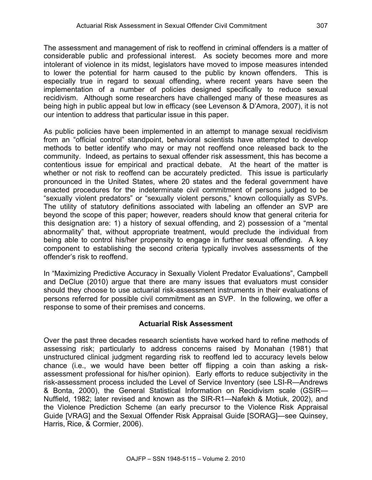The assessment and management of risk to reoffend in criminal offenders is a matter of considerable public and professional interest. As society becomes more and more intolerant of violence in its midst, legislators have moved to impose measures intended to lower the potential for harm caused to the public by known offenders. This is especially true in regard to sexual offending, where recent years have seen the implementation of a number of policies designed specifically to reduce sexual recidivism. Although some researchers have challenged many of these measures as being high in public appeal but low in efficacy (see Levenson & D'Amora, 2007), it is not our intention to address that particular issue in this paper.

As public policies have been implemented in an attempt to manage sexual recidivism from an "official control" standpoint, behavioral scientists have attempted to develop methods to better identify who may or may not reoffend once released back to the community. Indeed, as pertains to sexual offender risk assessment, this has become a contentious issue for empirical and practical debate. At the heart of the matter is whether or not risk to reoffend can be accurately predicted. This issue is particularly pronounced in the United States, where 20 states and the federal government have enacted procedures for the indeterminate civil commitment of persons judged to be "sexually violent predators" or "sexually violent persons," known colloquially as SVPs. The utility of statutory definitions associated with labeling an offender an SVP are beyond the scope of this paper; however, readers should know that general criteria for this designation are: 1) a history of sexual offending, and 2) possession of a "mental abnormality" that, without appropriate treatment, would preclude the individual from being able to control his/her propensity to engage in further sexual offending. A key component to establishing the second criteria typically involves assessments of the offender's risk to reoffend.

In "Maximizing Predictive Accuracy in Sexually Violent Predator Evaluations", Campbell and DeClue (2010) argue that there are many issues that evaluators must consider should they choose to use actuarial risk-assessment instruments in their evaluations of persons referred for possible civil commitment as an SVP. In the following, we offer a response to some of their premises and concerns.

## **Actuarial Risk Assessment**

Over the past three decades research scientists have worked hard to refine methods of assessing risk; particularly to address concerns raised by Monahan (1981) that unstructured clinical judgment regarding risk to reoffend led to accuracy levels below chance (i.e., we would have been better off flipping a coin than asking a riskassessment professional for his/her opinion). Early efforts to reduce subjectivity in the risk-assessment process included the Level of Service Inventory (see LSI-R—Andrews & Bonta, 2000), the General Statistical Information on Recidivism scale (GSIR— Nuffield, 1982; later revised and known as the SIR-R1—Nafekh & Motiuk, 2002), and the Violence Prediction Scheme (an early precursor to the Violence Risk Appraisal Guide [VRAG] and the Sexual Offender Risk Appraisal Guide [SORAG]—see Quinsey, Harris, Rice, & Cormier, 2006).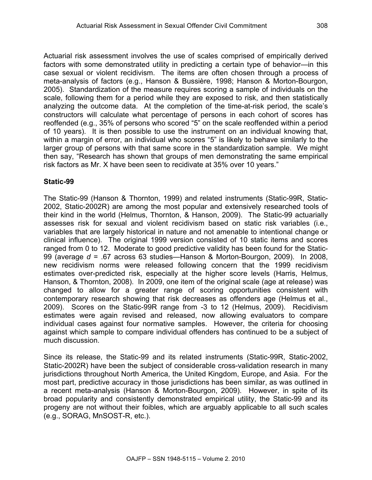Actuarial risk assessment involves the use of scales comprised of empirically derived factors with some demonstrated utility in predicting a certain type of behavior—in this case sexual or violent recidivism. The items are often chosen through a process of meta-analysis of factors (e.g., Hanson & Bussière, 1998; Hanson & Morton-Bourgon, 2005). Standardization of the measure requires scoring a sample of individuals on the scale, following them for a period while they are exposed to risk, and then statistically analyzing the outcome data. At the completion of the time-at-risk period, the scale's constructors will calculate what percentage of persons in each cohort of scores has reoffended (e.g., 35% of persons who scored "5" on the scale reoffended within a period of 10 years). It is then possible to use the instrument on an individual knowing that, within a margin of error, an individual who scores "5" is likely to behave similarly to the larger group of persons with that same score in the standardization sample. We might then say, "Research has shown that groups of men demonstrating the same empirical risk factors as Mr. X have been seen to recidivate at 35% over 10 years."

# **Static-99**

The Static-99 (Hanson & Thornton, 1999) and related instruments (Static-99R, Static-2002, Static-2002R) are among the most popular and extensively researched tools of their kind in the world (Helmus, Thornton, & Hanson, 2009). The Static-99 actuarially assesses risk for sexual and violent recidivism based on static risk variables (i.e., variables that are largely historical in nature and not amenable to intentional change or clinical influence). The original 1999 version consisted of 10 static items and scores ranged from 0 to 12. Moderate to good predictive validity has been found for the Static-99 (average *d* = .67 across 63 studies—Hanson & Morton-Bourgon, 2009). In 2008, new recidivism norms were released following concern that the 1999 recidivism estimates over-predicted risk, especially at the higher score levels (Harris, Helmus, Hanson, & Thornton, 2008). In 2009, one item of the original scale (age at release) was changed to allow for a greater range of scoring opportunities consistent with contemporary research showing that risk decreases as offenders age (Helmus et al., 2009). Scores on the Static-99R range from -3 to 12 (Helmus, 2009). Recidivism estimates were again revised and released, now allowing evaluators to compare individual cases against four normative samples. However, the criteria for choosing against which sample to compare individual offenders has continued to be a subject of much discussion.

Since its release, the Static-99 and its related instruments (Static-99R, Static-2002, Static-2002R) have been the subject of considerable cross-validation research in many jurisdictions throughout North America, the United Kingdom, Europe, and Asia. For the most part, predictive accuracy in those jurisdictions has been similar, as was outlined in a recent meta-analysis (Hanson & Morton-Bourgon, 2009). However, in spite of its broad popularity and consistently demonstrated empirical utility, the Static-99 and its progeny are not without their foibles, which are arguably applicable to all such scales (e.g., SORAG, MnSOST-R, etc.).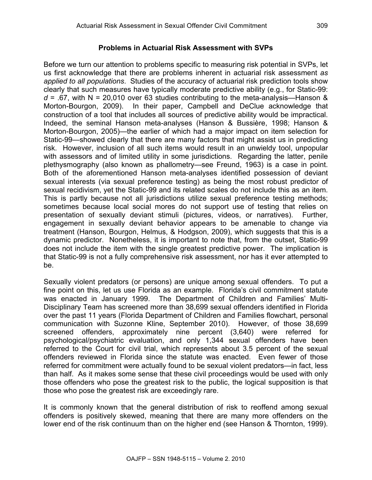## **Problems in Actuarial Risk Assessment with SVPs**

Before we turn our attention to problems specific to measuring risk potential in SVPs, let us first acknowledge that there are problems inherent in actuarial risk assessment *as applied to all populations*. Studies of the accuracy of actuarial risk prediction tools show clearly that such measures have typically moderate predictive ability (e.g., for Static-99:  $d = 0.67$ , with N = 20,010 over 63 studies contributing to the meta-analysis—Hanson & Morton-Bourgon, 2009). In their paper, Campbell and DeClue acknowledge that construction of a tool that includes all sources of predictive ability would be impractical. Indeed, the seminal Hanson meta-analyses (Hanson & Bussière, 1998; Hanson & Morton-Bourgon, 2005)—the earlier of which had a major impact on item selection for Static-99—showed clearly that there are many factors that might assist us in predicting risk. However, inclusion of all such items would result in an unwieldy tool, unpopular with assessors and of limited utility in some jurisdictions. Regarding the latter, penile plethysmography (also known as phallometry—see Freund, 1963) is a case in point. Both of the aforementioned Hanson meta-analyses identified possession of deviant sexual interests (via sexual preference testing) as being the most robust predictor of sexual recidivism, yet the Static-99 and its related scales do not include this as an item. This is partly because not all jurisdictions utilize sexual preference testing methods; sometimes because local social mores do not support use of testing that relies on presentation of sexually deviant stimuli (pictures, videos, or narratives). Further, engagement in sexually deviant behavior appears to be amenable to change via treatment (Hanson, Bourgon, Helmus, & Hodgson, 2009), which suggests that this is a dynamic predictor. Nonetheless, it is important to note that, from the outset, Static-99 does not include the item with the single greatest predictive power. The implication is that Static-99 is not a fully comprehensive risk assessment, nor has it ever attempted to be.

Sexually violent predators (or persons) are unique among sexual offenders. To put a fine point on this, let us use Florida as an example. Florida's civil commitment statute was enacted in January 1999. The Department of Children and Families' Multi-Disciplinary Team has screened more than 38,699 sexual offenders identified in Florida over the past 11 years (Florida Department of Children and Families flowchart, personal communication with Suzonne Kline, September 2010). However, of those 38,699 screened offenders, approximately nine percent (3,640) were referred for psychological/psychiatric evaluation, and only 1,344 sexual offenders have been referred to the Court for civil trial, which represents about 3.5 percent of the sexual offenders reviewed in Florida since the statute was enacted. Even fewer of those referred for commitment were actually found to be sexual violent predators—in fact, less than half. As it makes some sense that these civil proceedings would be used with only those offenders who pose the greatest risk to the public, the logical supposition is that those who pose the greatest risk are exceedingly rare.

It is commonly known that the general distribution of risk to reoffend among sexual offenders is positively skewed, meaning that there are many more offenders on the lower end of the risk continuum than on the higher end (see Hanson & Thornton, 1999).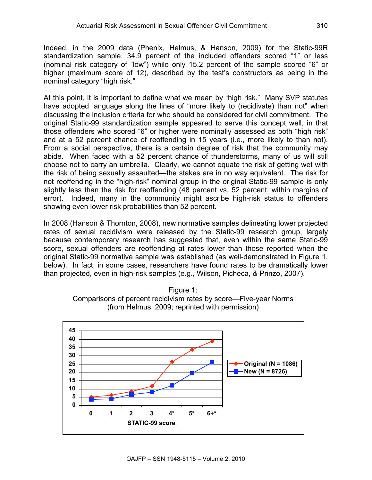Indeed, in the 2009 data (Phenix, Helmus, & Hanson, 2009) for the Static-99R standardization sample, 34.9 percent of the included offenders scored "1" or less (nominal risk category of "low") while only 15.2 percent of the sample scored "6" or higher (maximum score of 12), described by the test's constructors as being in the nominal category "high risk."

At this point, it is important to define what we mean by "high risk." Many SVP statutes have adopted language along the lines of "more likely to (recidivate) than not" when discussing the inclusion criteria for who should be considered for civil commitment. The original Static-99 standardization sample appeared to serve this concept well, in that those offenders who scored "6" or higher were nominally assessed as both "high risk" and at a 52 percent chance of reoffending in 15 years (i.e., more likely to than not). From a social perspective, there is a certain degree of risk that the community may abide. When faced with a 52 percent chance of thunderstorms, many of us will still choose not to carry an umbrella. Clearly, we cannot equate the risk of getting wet with the risk of being sexually assaulted—the stakes are in no way equivalent. The risk for not reoffending in the "high-risk" nominal group in the original Static-99 sample is only slightly less than the risk for reoffending (48 percent vs. 52 percent, within margins of error). Indeed, many in the community might ascribe high-risk status to offenders showing even lower risk probabilities than 52 percent.

In 2008 (Hanson & Thornton, 2008), new normative samples delineating lower projected rates of sexual recidivism were released by the Static-99 research group, largely because contemporary research has suggested that, even within the same Static-99 score, sexual offenders are reoffending at rates lower than those reported when the original Static-99 normative sample was established (as well-demonstrated in Figure 1, below). In fact, in some cases, researchers have found rates to be dramatically lower than projected, even in high-risk samples (e.g., Wilson, Picheca, & Prinzo, 2007).



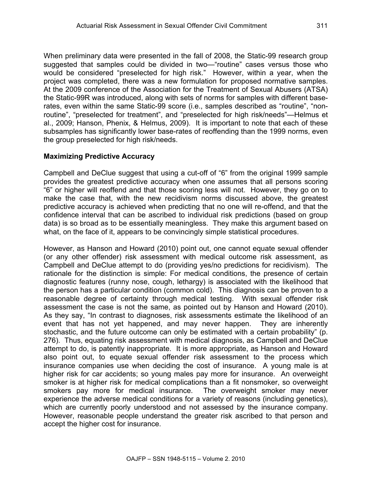When preliminary data were presented in the fall of 2008, the Static-99 research group suggested that samples could be divided in two—"routine" cases versus those who would be considered "preselected for high risk." However, within a year, when the project was completed, there was a new formulation for proposed normative samples. At the 2009 conference of the Association for the Treatment of Sexual Abusers (ATSA) the Static-99R was introduced, along with sets of norms for samples with different baserates, even within the same Static-99 score (i.e., samples described as "routine", "nonroutine", "preselected for treatment", and "preselected for high risk/needs"—Helmus et al., 2009; Hanson, Phenix, & Helmus, 2009). It is important to note that each of these subsamples has significantly lower base-rates of reoffending than the 1999 norms, even the group preselected for high risk/needs.

#### **Maximizing Predictive Accuracy**

Campbell and DeClue suggest that using a cut-off of "6" from the original 1999 sample provides the greatest predictive accuracy when one assumes that all persons scoring "6" or higher will reoffend and that those scoring less will not. However, they go on to make the case that, with the new recidivism norms discussed above, the greatest predictive accuracy is achieved when predicting that no one will re-offend, and that the confidence interval that can be ascribed to individual risk predictions (based on group data) is so broad as to be essentially meaningless. They make this argument based on what, on the face of it, appears to be convincingly simple statistical procedures.

However, as Hanson and Howard (2010) point out, one cannot equate sexual offender (or any other offender) risk assessment with medical outcome risk assessment, as Campbell and DeClue attempt to do (providing yes/no predictions for recidivism). The rationale for the distinction is simple: For medical conditions, the presence of certain diagnostic features (runny nose, cough, lethargy) is associated with the likelihood that the person has a particular condition (common cold). This diagnosis can be proven to a reasonable degree of certainty through medical testing. With sexual offender risk assessment the case is not the same, as pointed out by Hanson and Howard (2010). As they say, "In contrast to diagnoses, risk assessments estimate the likelihood of an event that has not yet happened, and may never happen. They are inherently stochastic, and the future outcome can only be estimated with a certain probability" (p. 276). Thus, equating risk assessment with medical diagnosis, as Campbell and DeClue attempt to do, is patently inappropriate. It is more appropriate, as Hanson and Howard also point out, to equate sexual offender risk assessment to the process which insurance companies use when deciding the cost of insurance. A young male is at higher risk for car accidents; so young males pay more for insurance. An overweight smoker is at higher risk for medical complications than a fit nonsmoker, so overweight smokers pay more for medical insurance. The overweight smoker may never experience the adverse medical conditions for a variety of reasons (including genetics), which are currently poorly understood and not assessed by the insurance company. However, reasonable people understand the greater risk ascribed to that person and accept the higher cost for insurance.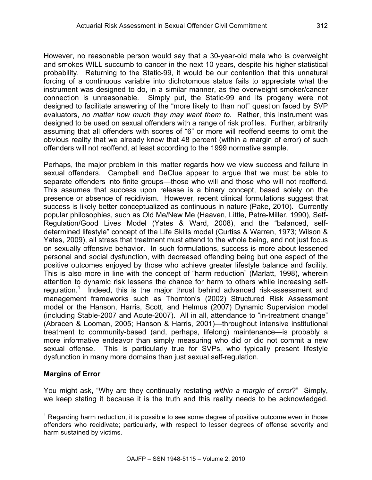However, no reasonable person would say that a 30-year-old male who is overweight and smokes WILL succumb to cancer in the next 10 years, despite his higher statistical probability. Returning to the Static-99, it would be our contention that this unnatural forcing of a continuous variable into dichotomous status fails to appreciate what the instrument was designed to do, in a similar manner, as the overweight smoker/cancer connection is unreasonable. Simply put, the Static-99 and its progeny were not designed to facilitate answering of the "more likely to than not" question faced by SVP evaluators, *no matter how much they may want them to*. Rather, this instrument was designed to be used on sexual offenders with a range of risk profiles. Further, arbitrarily assuming that all offenders with scores of "6" or more will reoffend seems to omit the obvious reality that we already know that 48 percent (within a margin of error) of such offenders will not reoffend, at least according to the 1999 normative sample.

Perhaps, the major problem in this matter regards how we view success and failure in sexual offenders. Campbell and DeClue appear to argue that we must be able to separate offenders into finite groups—those who will and those who will not reoffend. This assumes that success upon release is a binary concept, based solely on the presence or absence of recidivism. However, recent clinical formulations suggest that success is likely better conceptualized as continuous in nature (Pake, 2010). Currently popular philosophies, such as Old Me/New Me (Haaven, Little, Petre-Miller, 1990), Self-Regulation/Good Lives Model (Yates & Ward, 2008), and the "balanced, selfdetermined lifestyle" concept of the Life Skills model (Curtiss & Warren, 1973; Wilson & Yates, 2009), all stress that treatment must attend to the whole being, and not just focus on sexually offensive behavior. In such formulations, success is more about lessened personal and social dysfunction, with decreased offending being but one aspect of the positive outcomes enjoyed by those who achieve greater lifestyle balance and facility. This is also more in line with the concept of "harm reduction" (Marlatt, 1998), wherein attention to dynamic risk lessens the chance for harm to others while increasing selfregulation.<sup>1</sup> Indeed, this is the major thrust behind advanced risk-assessment and management frameworks such as Thornton's (2002) Structured Risk Assessment model or the Hanson, Harris, Scott, and Helmus (2007) Dynamic Supervision model (including Stable-2007 and Acute-2007). All in all, attendance to "in-treatment change" (Abracen & Looman, 2005; Hanson & Harris, 2001)—throughout intensive institutional treatment to community-based (and, perhaps, lifelong) maintenance—is probably a more informative endeavor than simply measuring who did or did not commit a new sexual offense. This is particularly true for SVPs, who typically present lifestyle dysfunction in many more domains than just sexual self-regulation.

#### **Margins of Error**

j

You might ask, "Why are they continually restating *within a margin of error*?" Simply, we keep stating it because it is the truth and this reality needs to be acknowledged.

 $1$  Regarding harm reduction, it is possible to see some degree of positive outcome even in those offenders who recidivate; particularly, with respect to lesser degrees of offense severity and harm sustained by victims.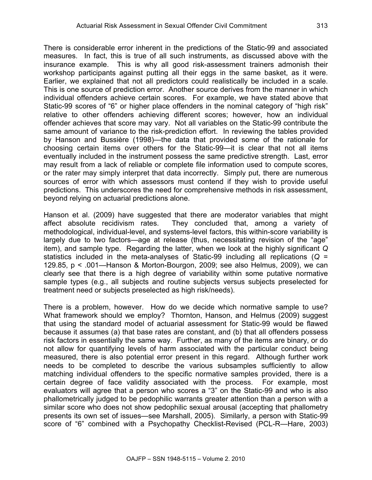There is considerable error inherent in the predictions of the Static-99 and associated measures. In fact, this is true of all such instruments, as discussed above with the insurance example. This is why all good risk-assessment trainers admonish their workshop participants against putting all their eggs in the same basket, as it were. Earlier, we explained that not all predictors could realistically be included in a scale. This is one source of prediction error. Another source derives from the manner in which individual offenders achieve certain scores. For example, we have stated above that Static-99 scores of "6" or higher place offenders in the nominal category of "high risk" relative to other offenders achieving different scores; however, how an individual offender achieves that score may vary. Not all variables on the Static-99 contribute the same amount of variance to the risk-prediction effort. In reviewing the tables provided by Hanson and Bussière (1998)—the data that provided some of the rationale for choosing certain items over others for the Static-99—it is clear that not all items eventually included in the instrument possess the same predictive strength. Last, error may result from a lack of reliable or complete file information used to compute scores, or the rater may simply interpret that data incorrectly. Simply put, there are numerous sources of error with which assessors must contend if they wish to provide useful predictions. This underscores the need for comprehensive methods in risk assessment, beyond relying on actuarial predictions alone.

Hanson et al. (2009) have suggested that there are moderator variables that might affect absolute recidivism rates. They concluded that, among a variety of methodological, individual-level, and systems-level factors, this within-score variability is largely due to two factors—age at release (thus, necessitating revision of the "age" item), and sample type. Regarding the latter, when we look at the highly significant *Q* statistics included in the meta-analyses of Static-99 including all replications (*Q* = 129.85, p < .001—Hanson & Morton-Bourgon, 2009; see also Helmus, 2009), we can clearly see that there is a high degree of variability within some putative normative sample types (e.g., all subjects and routine subjects versus subjects preselected for treatment need or subjects preselected as high risk/needs).

There is a problem, however. How do we decide which normative sample to use? What framework should we employ? Thornton, Hanson, and Helmus (2009) suggest that using the standard model of actuarial assessment for Static-99 would be flawed because it assumes (a) that base rates are constant, and (b) that all offenders possess risk factors in essentially the same way. Further, as many of the items are binary, or do not allow for quantifying levels of harm associated with the particular conduct being measured, there is also potential error present in this regard. Although further work needs to be completed to describe the various subsamples sufficiently to allow matching individual offenders to the specific normative samples provided, there is a certain degree of face validity associated with the process. For example, most evaluators will agree that a person who scores a "3" on the Static-99 and who is also phallometrically judged to be pedophilic warrants greater attention than a person with a similar score who does not show pedophilic sexual arousal (accepting that phallometry presents its own set of issues—see Marshall, 2005). Similarly, a person with Static-99 score of "6" combined with a Psychopathy Checklist-Revised (PCL-R—Hare, 2003)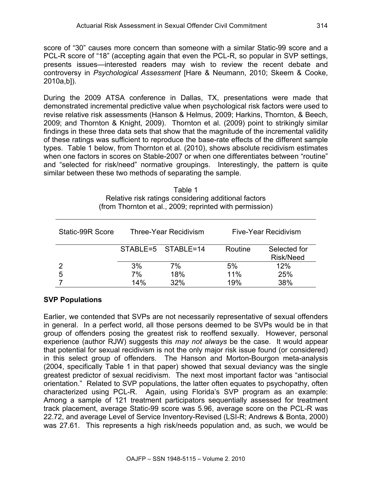score of "30" causes more concern than someone with a similar Static-99 score and a PCL-R score of "18" (accepting again that even the PCL-R, so popular in SVP settings, presents issues—interested readers may wish to review the recent debate and controversy in *Psychological Assessment* [Hare & Neumann, 2010; Skeem & Cooke, 2010a,b]).

During the 2009 ATSA conference in Dallas, TX, presentations were made that demonstrated incremental predictive value when psychological risk factors were used to revise relative risk assessments (Hanson & Helmus, 2009; Harkins, Thornton, & Beech, 2009; and Thornton & Knight, 2009). Thornton et al. (2009) point to strikingly similar findings in these three data sets that show that the magnitude of the incremental validity of these ratings was sufficient to reproduce the base-rate effects of the different sample types. Table 1 below, from Thornton et al. (2010), shows absolute recidivism estimates when one factors in scores on Stable-2007 or when one differentiates between "routine" and "selected for risk/need" normative groupings. Interestingly, the pattern is quite similar between these two methods of separating the sample.

> Table 1 Relative risk ratings considering additional factors (from Thornton et al., 2009; reprinted with permission)

| Static-99R Score | Three-Year Recidivism |                    | <b>Five-Year Recidivism</b> |                           |
|------------------|-----------------------|--------------------|-----------------------------|---------------------------|
|                  |                       | STABLE=5 STABLE=14 | Routine                     | Selected for<br>Risk/Need |
| $\mathcal{P}$    | 3%                    | 7%                 | 5%                          | 12%                       |
| 5                | 7%                    | 18%                | 11%                         | 25%                       |
|                  | 14%                   | 32%                | 19%                         | 38%                       |

# **SVP Populations**

Earlier, we contended that SVPs are not necessarily representative of sexual offenders in general. In a perfect world, all those persons deemed to be SVPs would be in that group of offenders posing the greatest risk to reoffend sexually. However, personal experience (author RJW) suggests this *may not always* be the case. It would appear that potential for sexual recidivism is not the only major risk issue found (or considered) in this select group of offenders. The Hanson and Morton-Bourgon meta-analysis (2004, specifically Table 1 in that paper) showed that sexual deviancy was the single greatest predictor of sexual recidivism. The next most important factor was "antisocial orientation." Related to SVP populations, the latter often equates to psychopathy, often characterized using PCL-R. Again, using Florida's SVP program as an example: Among a sample of 121 treatment participators sequentially assessed for treatment track placement, average Static-99 score was 5.96, average score on the PCL-R was 22.72, and average Level of Service Inventory-Revised (LSI-R; Andrews & Bonta, 2000) was 27.61. This represents a high risk/needs population and, as such, we would be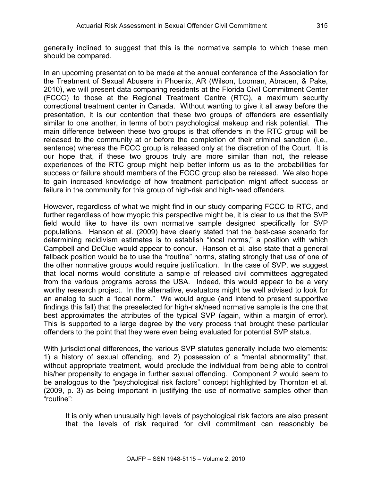generally inclined to suggest that this is the normative sample to which these men should be compared.

In an upcoming presentation to be made at the annual conference of the Association for the Treatment of Sexual Abusers in Phoenix, AR (Wilson, Looman, Abracen, & Pake, 2010), we will present data comparing residents at the Florida Civil Commitment Center (FCCC) to those at the Regional Treatment Centre (RTC), a maximum security correctional treatment center in Canada. Without wanting to give it all away before the presentation, it is our contention that these two groups of offenders are essentially similar to one another, in terms of both psychological makeup and risk potential. The main difference between these two groups is that offenders in the RTC group will be released to the community at or before the completion of their criminal sanction (i.e., sentence) whereas the FCCC group is released only at the discretion of the Court. It is our hope that, if these two groups truly are more similar than not, the release experiences of the RTC group might help better inform us as to the probabilities for success or failure should members of the FCCC group also be released. We also hope to gain increased knowledge of how treatment participation might affect success or failure in the community for this group of high-risk and high-need offenders.

However, regardless of what we might find in our study comparing FCCC to RTC, and further regardless of how myopic this perspective might be, it is clear to us that the SVP field would like to have its own normative sample designed specifically for SVP populations. Hanson et al. (2009) have clearly stated that the best-case scenario for determining recidivism estimates is to establish "local norms," a position with which Campbell and DeClue would appear to concur. Hanson et al. also state that a general fallback position would be to use the "routine" norms, stating strongly that use of one of the other normative groups would require justification. In the case of SVP, we suggest that local norms would constitute a sample of released civil committees aggregated from the various programs across the USA. Indeed, this would appear to be a very worthy research project. In the alternative, evaluators might be well advised to look for an analog to such a "local norm." We would argue (and intend to present supportive findings this fall) that the preselected for high-risk/need normative sample is the one that best approximates the attributes of the typical SVP (again, within a margin of error). This is supported to a large degree by the very process that brought these particular offenders to the point that they were even being evaluated for potential SVP status.

With jurisdictional differences, the various SVP statutes generally include two elements: 1) a history of sexual offending, and 2) possession of a "mental abnormality" that, without appropriate treatment, would preclude the individual from being able to control his/her propensity to engage in further sexual offending. Component 2 would seem to be analogous to the "psychological risk factors" concept highlighted by Thornton et al. (2009, p. 3) as being important in justifying the use of normative samples other than "routine":

It is only when unusually high levels of psychological risk factors are also present that the levels of risk required for civil commitment can reasonably be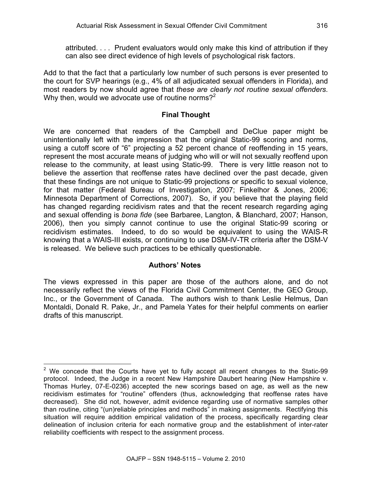attributed. . . . Prudent evaluators would only make this kind of attribution if they can also see direct evidence of high levels of psychological risk factors.

Add to that the fact that a particularly low number of such persons is ever presented to the court for SVP hearings (e.g., 4% of all adjudicated sexual offenders in Florida), and most readers by now should agree that *these are clearly not routine sexual offenders*. Why then, would we advocate use of routine norms?<sup>2</sup>

# **Final Thought**

We are concerned that readers of the Campbell and DeClue paper might be unintentionally left with the impression that the original Static-99 scoring and norms, using a cutoff score of "6" projecting a 52 percent chance of reoffending in 15 years, represent the most accurate means of judging who will or will not sexually reoffend upon release to the community, at least using Static-99. There is very little reason not to believe the assertion that reoffense rates have declined over the past decade, given that these findings are not unique to Static-99 projections or specific to sexual violence, for that matter (Federal Bureau of Investigation, 2007; Finkelhor & Jones, 2006; Minnesota Department of Corrections, 2007). So, if you believe that the playing field has changed regarding recidivism rates and that the recent research regarding aging and sexual offending is *bona fide* (see Barbaree, Langton, & Blanchard, 2007; Hanson, 2006), then you simply cannot continue to use the original Static-99 scoring or recidivism estimates. Indeed, to do so would be equivalent to using the WAIS-R knowing that a WAIS-III exists, or continuing to use DSM-IV-TR criteria after the DSM-V is released. We believe such practices to be ethically questionable.

# **Authors' Notes**

The views expressed in this paper are those of the authors alone, and do not necessarily reflect the views of the Florida Civil Commitment Center, the GEO Group, Inc., or the Government of Canada. The authors wish to thank Leslie Helmus, Dan Montaldi, Donald R. Pake, Jr., and Pamela Yates for their helpful comments on earlier drafts of this manuscript.

j  $2$  We concede that the Courts have yet to fully accept all recent changes to the Static-99 protocol. Indeed, the Judge in a recent New Hampshire Daubert hearing (New Hampshire v. Thomas Hurley, 07-E-0236) accepted the new scorings based on age, as well as the new recidivism estimates for "routine" offenders (thus, acknowledging that reoffense rates have decreased). She did not, however, admit evidence regarding use of normative samples other than routine, citing "(un)reliable principles and methods" in making assignments. Rectifying this situation will require addition empirical validation of the process, specifically regarding clear delineation of inclusion criteria for each normative group and the establishment of inter-rater reliability coefficients with respect to the assignment process.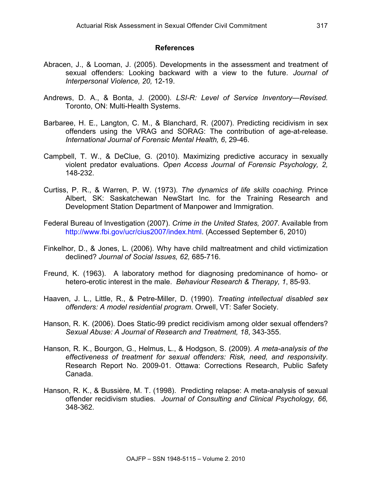#### **References**

- Abracen, J., & Looman, J. (2005). Developments in the assessment and treatment of sexual offenders: Looking backward with a view to the future. *Journal of Interpersonal Violence, 20,* 12-19.
- Andrews, D. A., & Bonta, J. (2000). *LSI-R: Level of Service Inventory—Revised.* Toronto, ON: Multi-Health Systems.
- Barbaree, H. E., Langton, C. M., & Blanchard, R. (2007). Predicting recidivism in sex offenders using the VRAG and SORAG: The contribution of age-at-release. *International Journal of Forensic Mental Health, 6*, 29-46.
- Campbell, T. W., & DeClue, G. (2010). Maximizing predictive accuracy in sexually violent predator evaluations. *Open Access Journal of Forensic Psychology, 2,* 148-232.
- Curtiss, P. R., & Warren, P. W. (1973). *The dynamics of life skills coaching.* Prince Albert, SK: Saskatchewan NewStart Inc. for the Training Research and Development Station Department of Manpower and Immigration.
- Federal Bureau of Investigation (2007). *Crime in the United States, 2007*. Available from http://www.fbi.gov/ucr/cius2007/index.html. (Accessed September 6, 2010)
- Finkelhor, D., & Jones, L. (2006). Why have child maltreatment and child victimization declined? *Journal of Social Issues, 62,* 685-716.
- Freund, K. (1963). A laboratory method for diagnosing predominance of homo- or hetero-erotic interest in the male. *Behaviour Research & Therapy, 1*, 85-93.
- Haaven, J. L., Little, R., & Petre-Miller, D. (1990). *Treating intellectual disabled sex offenders: A model residential program*. Orwell, VT: Safer Society.
- Hanson, R. K. (2006). Does Static-99 predict recidivism among older sexual offenders? *Sexual Abuse: A Journal of Research and Treatment, 18*, 343-355.
- Hanson, R. K., Bourgon, G., Helmus, L., & Hodgson, S. (2009). *A meta-analysis of the effectiveness of treatment for sexual offenders: Risk, need, and responsivity*. Research Report No. 2009-01. Ottawa: Corrections Research, Public Safety Canada.
- Hanson, R. K., & Bussière, M. T. (1998). Predicting relapse: A meta-analysis of sexual offender recidivism studies. *Journal of Consulting and Clinical Psychology, 66,*  348-362.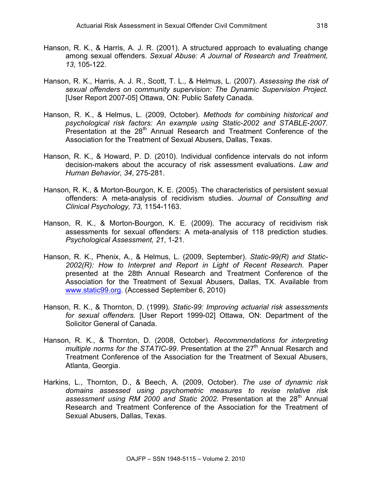- Hanson, R. K., & Harris, A. J. R. (2001). A structured approach to evaluating change among sexual offenders. *Sexual Abuse: A Journal of Research and Treatment, 13*, 105-122.
- Hanson, R. K., Harris, A. J. R., Scott, T. L., & Helmus, L. (2007). *Assessing the risk of sexual offenders on community supervision: The Dynamic Supervision Project.* [User Report 2007-05] Ottawa, ON: Public Safety Canada.
- Hanson, R. K., & Helmus, L. (2009, October). *Methods for combining historical and psychological risk factors: An example using Static-2002 and STABLE-2007.*  $P$ resentation at the 28<sup>th</sup> Annual Research and Treatment Conference of the Association for the Treatment of Sexual Abusers, Dallas, Texas.
- Hanson, R. K., & Howard, P. D. (2010). Individual confidence intervals do not inform decision-makers about the accuracy of risk assessment evaluations. *Law and Human Behavior, 34*, 275-281.
- Hanson, R. K., & Morton-Bourgon, K. E. (2005). The characteristics of persistent sexual offenders: A meta-analysis of recidivism studies. *Journal of Consulting and Clinical Psychology, 73,* 1154-1163.
- Hanson, R. K., & Morton-Bourgon, K. E. (2009). The accuracy of recidivism risk assessments for sexual offenders: A meta-analysis of 118 prediction studies. *Psychological Assessment, 21*, 1-21.
- Hanson, R. K., Phenix, A., & Helmus, L. (2009, September). *Static-99(R) and Static-2002(R): How to Interpret and Report in Light of Recent Research*. Paper presented at the 28th Annual Research and Treatment Conference of the Association for the Treatment of Sexual Abusers, Dallas, TX. Available from www.static99.org. (Accessed September 6, 2010)
- Hanson, R. K., & Thornton, D. (1999). *Static-99: Improving actuarial risk assessments for sexual offenders.* [User Report 1999-02] Ottawa, ON: Department of the Solicitor General of Canada.
- Hanson, R. K., & Thornton, D. (2008, October). *Recommendations for interpreting multiple norms for the STATIC-99.* Presentation at the 27<sup>th</sup> Annual Resarch and Treatment Conference of the Association for the Treatment of Sexual Abusers, Atlanta, Georgia.
- Harkins, L., Thornton, D., & Beech, A. (2009, October). *The use of dynamic risk domains assessed using psychometric measures to revise relative risk*  assessment using RM 2000 and Static 2002. Presentation at the 28<sup>th</sup> Annual Research and Treatment Conference of the Association for the Treatment of Sexual Abusers, Dallas, Texas.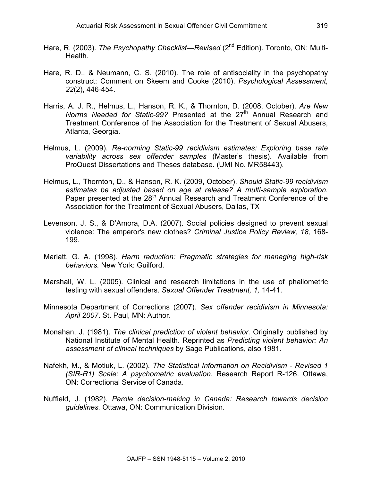- Hare, R. (2003). *The Psychopathy Checklist—Revised* (2<sup>nd</sup> Edition). Toronto, ON: Multi-Health.
- Hare, R. D., & Neumann, C. S. (2010). The role of antisociality in the psychopathy construct: Comment on Skeem and Cooke (2010). *Psychological Assessment, 22*(2), 446-454.
- Harris, A. J. R., Helmus, L., Hanson, R. K., & Thornton, D. (2008, October). *Are New Norms Needed for Static-99?* Presented at the 27<sup>th</sup> Annual Research and Treatment Conference of the Association for the Treatment of Sexual Abusers, Atlanta, Georgia.
- Helmus, L. (2009). *Re-norming Static-99 recidivism estimates: Exploring base rate variability across sex offender samples* (Master's thesis). Available from ProQuest Dissertations and Theses database. (UMI No. MR58443).
- Helmus, L., Thornton, D., & Hanson, R. K. (2009, October). *Should Static-99 recidivism estimates be adjusted based on age at release? A multi-sample exploration.* Paper presented at the 28<sup>th</sup> Annual Research and Treatment Conference of the Association for the Treatment of Sexual Abusers, Dallas, TX
- Levenson, J. S., & D'Amora, D.A. (2007). Social policies designed to prevent sexual violence: The emperor's new clothes? *Criminal Justice Policy Review, 18,* 168- 199.
- Marlatt, G. A. (1998). *Harm reduction: Pragmatic strategies for managing high-risk behaviors.* New York: Guilford.
- Marshall, W. L. (2005). Clinical and research limitations in the use of phallometric testing with sexual offenders. *Sexual Offender Treatment, 1,* 14-41.
- Minnesota Department of Corrections (2007). *Sex offender recidivism in Minnesota: April 2007*. St. Paul, MN: Author.
- Monahan, J. (1981). *The clinical prediction of violent behavior*. Originally published by National Institute of Mental Health. Reprinted as *Predicting violent behavior: An assessment of clinical techniques* by Sage Publications, also 1981.
- Nafekh, M., & Motiuk, L. (2002). *The Statistical Information on Recidivism - Revised 1 (SIR-R1) Scale: A psychometric evaluation.* Research Report R-126. Ottawa, ON: Correctional Service of Canada.
- Nuffield, J. (1982). *Parole decision-making in Canada: Research towards decision guidelines.* Ottawa, ON: Communication Division.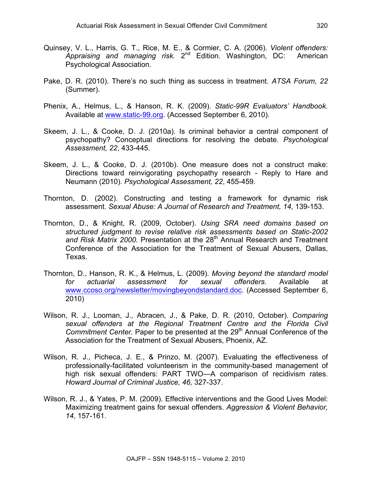- Quinsey, V. L., Harris, G. T., Rice, M. E., & Cormier, C. A. (2006). *Violent offenders: Appraising and managing risk.* 2nd Edition. Washington, DC: American Psychological Association.
- Pake, D. R. (2010). There's no such thing as success in treatment. *ATSA Forum, 22* (Summer).
- Phenix, A., Helmus, L., & Hanson, R. K. (2009). *Static-99R Evaluators' Handbook.* Available at www.static-99.org. (Accessed September 6, 2010).
- Skeem, J. L., & Cooke, D. J. (2010a). Is criminal behavior a central component of psychopathy? Conceptual directions for resolving the debate. *Psychological Assessment, 22*, 433-445.
- Skeem, J. L., & Cooke, D. J. (2010b). One measure does not a construct make: Directions toward reinvigorating psychopathy research - Reply to Hare and Neumann (2010). *Psychological Assessment, 22*, 455-459.
- Thornton, D. (2002). Constructing and testing a framework for dynamic risk assessment. *Sexual Abuse: A Journal of Research and Treatment, 14,* 139-153.
- Thornton, D., & Knight, R. (2009, October). *Using SRA need domains based on structured judgment to revise relative risk assessments based on Static-2002*  and Risk Matrix 2000. Presentation at the 28<sup>th</sup> Annual Research and Treatment Conference of the Association for the Treatment of Sexual Abusers, Dallas, Texas.
- Thornton, D., Hanson, R. K., & Helmus, L. (2009). *Moving beyond the standard model for actuarial assessment for sexual offenders.* Available at www.ccoso.org/newsletter/movingbeyondstandard.doc. (Accessed September 6, 2010)
- Wilson, R. J., Looman, J., Abracen, J., & Pake, D. R. (2010, October). *Comparing sexual offenders at the Regional Treatment Centre and the Florida Civil Commitment Center.* Paper to be presented at the 29<sup>th</sup> Annual Conference of the Association for the Treatment of Sexual Abusers, Phoenix, AZ.
- Wilson, R. J., Picheca, J. E., & Prinzo, M. (2007). Evaluating the effectiveness of professionally-facilitated volunteerism in the community-based management of high risk sexual offenders: PART TWO—A comparison of recidivism rates. *Howard Journal of Criminal Justice, 46,* 327-337.
- Wilson, R. J., & Yates, P. M. (2009). Effective interventions and the Good Lives Model: Maximizing treatment gains for sexual offenders. *Aggression & Violent Behavior, 14*, 157-161.